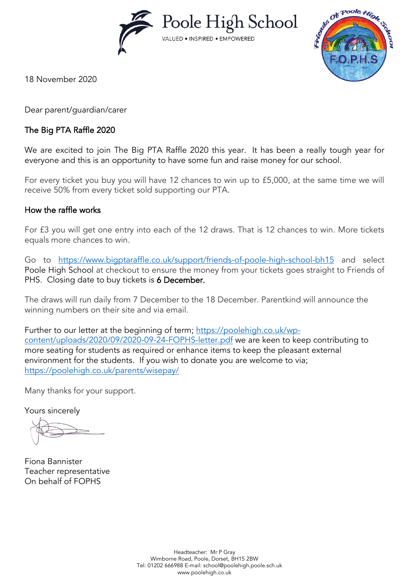Poole High School VALUED . INSPIRED . EMPOWERED



18 November 2020

Dear parent/guardian/carer

### The Big PTA Raffle 2020

We are excited to join The Big PTA Raffle 2020 this year. It has been a really tough year for everyone and this is an opportunity to have some fun and raise money for our school.

For every ticket you buy you will have 12 chances to win up to £5,000, at the same time we will receive 50% from every ticket sold supporting our PTA.

#### How the raffle works

For £3 you will get one entry into each of the 12 draws. That is 12 chances to win. More tickets equals more chances to win.

Go to <https://www.bigptaraffle.co.uk/support/friends-of-poole-high-school-bh15> and select Poole High School at checkout to ensure the money from your tickets goes straight to Friends of PHS. Closing date to buy tickets is 6 December.

The draws will run daily from 7 December to the 18 December. Parentkind will announce the winning numbers on their site and via email.

Further to our letter at the beginning of term; [https://poolehigh.co.uk/wp](https://poolehigh.co.uk/wp-content/uploads/2020/09/2020-09-24-FOPHS-letter.pdf)[content/uploads/2020/09/2020-09-24-FOPHS-letter.pdf](https://poolehigh.co.uk/wp-content/uploads/2020/09/2020-09-24-FOPHS-letter.pdf) we are keen to keep contributing to more seating for students as required or enhance items to keep the pleasant external environment for the students. If you wish to donate you are welcome to via; <https://poolehigh.co.uk/parents/wisepay/>

Many thanks for your support.

Yours sincerely

Fiona Bannister Teacher representative On behalf of FOPHS

Headteacher: Mr P Gray Wimborne Road, Poole, Dorset, BH15 2BW Tel: 01202 666988 E-mail: [school@poolehigh.poole.sch.uk](mailto:school@poolehigh.poole.sch.uk) www.poolehigh.co.uk